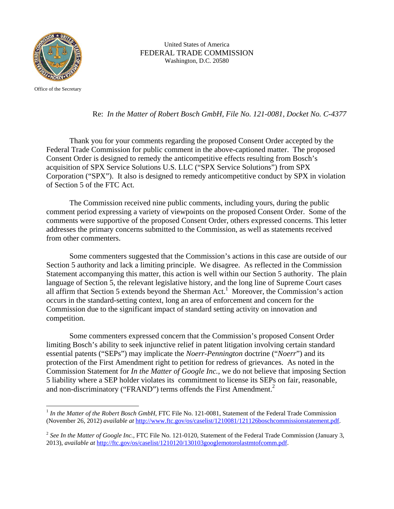

 United States of America FEDERAL TRADE COMMISSION Washington, D.C. 20580

Office of the Secretary

<u>.</u>

Re: *In the Matter of Robert Bosch GmbH, File No. 121-0081, Docket No. C-4377*

 Thank you for your comments regarding the proposed Consent Order accepted by the Federal Trade Commission for public comment in the above-captioned matter. The proposed Consent Order is designed to remedy the anticompetitive effects resulting from Bosch's acquisition of SPX Service Solutions U.S. LLC ("SPX Service Solutions") from SPX Corporation ("SPX"). It also is designed to remedy anticompetitive conduct by SPX in violation of Section 5 of the FTC Act.

The Commission received nine public comments, including yours, during the public comment period expressing a variety of viewpoints on the proposed Consent Order. Some of the comments were supportive of the proposed Consent Order, others expressed concerns. This letter addresses the primary concerns submitted to the Commission, as well as statements received from other commenters.

Some commenters suggested that the Commission's actions in this case are outside of our Section 5 authority and lack a limiting principle. We disagree. As reflected in the Commission Statement accompanying this matter, this action is well within our Section 5 authority. The plain language of Section 5, the relevant legislative history, and the long line of Supreme Court cases all affirm that Section 5 extends beyond the Sherman Act.<sup>1</sup> Moreover, the Commission's action occurs in the standard-setting context, long an area of enforcement and concern for the Commission due to the significant impact of standard setting activity on innovation and competition.

 Some commenters expressed concern that the Commission's proposed Consent Order limiting Bosch's ability to seek injunctive relief in patent litigation involving certain standard essential patents ("SEPs") may implicate the *Noerr-Pennington* doctrine ("*Noerr*") and its protection of the First Amendment right to petition for redress of grievances. As noted in the Commission Statement for *In the Matter of Google Inc.*, we do not believe that imposing Section 5 liability where a SEP holder violates its commitment to license its SEPs on fair, reasonable, and non-discriminatory ("FRAND") terms offends the First Amendment.<sup>2</sup>

<sup>&</sup>lt;sup>1</sup> In the Matter of the Robert Bosch GmbH, FTC File No. 121-0081, Statement of the Federal Trade Commission (November 26, 2012) *available at* http://www.ftc.gov/os/caselist/1210081/121126boschcommissionstatement.pdf.

<sup>&</sup>lt;sup>2</sup> See In the Matter of Google Inc., FTC File No. 121-0120, Statement of the Federal Trade Commission (January 3, 2013), *available at* http://ftc.gov/os/caselist/1210120/130103googlemotorolastmtofcomm.pdf.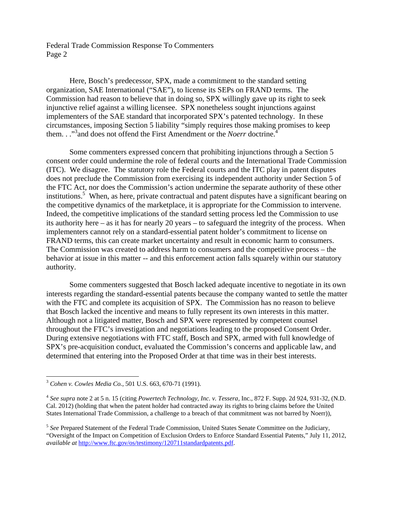Federal Trade Commission Response To Commenters Page 2

 Here, Bosch's predecessor, SPX, made a commitment to the standard setting organization, SAE International ("SAE"), to license its SEPs on FRAND terms. The Commission had reason to believe that in doing so, SPX willingly gave up its right to seek injunctive relief against a willing licensee. SPX nonetheless sought injunctions against implementers of the SAE standard that incorporated SPX's patented technology. In these circumstances, imposing Section 5 liability "simply requires those making promises to keep them. . ."<sup>3</sup> and does not offend the First Amendment or the *Noerr* doctrine.<sup>4</sup>

Some commenters expressed concern that prohibiting injunctions through a Section 5 consent order could undermine the role of federal courts and the International Trade Commission (ITC). We disagree. The statutory role the Federal courts and the ITC play in patent disputes does not preclude the Commission from exercising its independent authority under Section 5 of the FTC Act, nor does the Commission's action undermine the separate authority of these other institutions.<sup>5</sup> When, as here, private contractual and patent disputes have a significant bearing on the competitive dynamics of the marketplace, it is appropriate for the Commission to intervene. Indeed, the competitive implications of the standard setting process led the Commission to use its authority here – as it has for nearly 20 years – to safeguard the integrity of the process. When implementers cannot rely on a standard-essential patent holder's commitment to license on FRAND terms, this can create market uncertainty and result in economic harm to consumers. The Commission was created to address harm to consumers and the competitive process – the behavior at issue in this matter -- and this enforcement action falls squarely within our statutory authority.

 Some commenters suggested that Bosch lacked adequate incentive to negotiate in its own interests regarding the standard-essential patents because the company wanted to settle the matter with the FTC and complete its acquisition of SPX. The Commission has no reason to believe that Bosch lacked the incentive and means to fully represent its own interests in this matter. Although not a litigated matter, Bosch and SPX were represented by competent counsel throughout the FTC's investigation and negotiations leading to the proposed Consent Order. During extensive negotiations with FTC staff, Bosch and SPX, armed with full knowledge of SPX's pre-acquisition conduct, evaluated the Commission's concerns and applicable law, and determined that entering into the Proposed Order at that time was in their best interests.

 $\overline{a}$ 

<sup>3</sup> *Cohen v. Cowles Media Co.*, 501 U.S. 663, 670-71 (1991).

<sup>4</sup> *See supra* note 2 at 5 n. 15 (citing *Powertech Technology, Inc. v. Tessera,* Inc., 872 F. Supp. 2d 924, 931-32, (N.D. Cal. 2012) (holding that when the patent holder had contracted away its rights to bring claims before the United States International Trade Commission, a challenge to a breach of that commitment was not barred by Noerr)),

<sup>&</sup>lt;sup>5</sup> See Prepared Statement of the Federal Trade Commission, United States Senate Committee on the Judiciary, "Oversight of the Impact on Competition of Exclusion Orders to Enforce Standard Essential Patents," July 11, 2012, *available at* http://www.ftc.gov/os/testimony/120711standardpatents.pdf.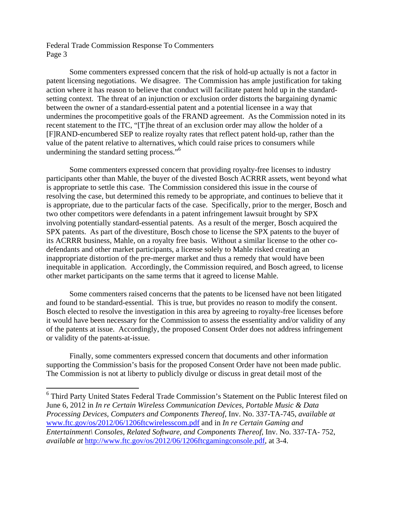Federal Trade Commission Response To Commenters Page 3

 $\overline{a}$ 

 Some commenters expressed concern that the risk of hold-up actually is not a factor in patent licensing negotiations. We disagree. The Commission has ample justification for taking action where it has reason to believe that conduct will facilitate patent hold up in the standardsetting context. The threat of an injunction or exclusion order distorts the bargaining dynamic between the owner of a standard-essential patent and a potential licensee in a way that undermines the procompetitive goals of the FRAND agreement. As the Commission noted in its recent statement to the ITC, "[T]he threat of an exclusion order may allow the holder of a [F]RAND-encumbered SEP to realize royalty rates that reflect patent hold-up, rather than the value of the patent relative to alternatives, which could raise prices to consumers while undermining the standard setting process."<sup>6</sup>

 Some commenters expressed concern that providing royalty-free licenses to industry participants other than Mahle, the buyer of the divested Bosch ACRRR assets, went beyond what is appropriate to settle this case. The Commission considered this issue in the course of resolving the case, but determined this remedy to be appropriate, and continues to believe that it is appropriate, due to the particular facts of the case. Specifically, prior to the merger, Bosch and two other competitors were defendants in a patent infringement lawsuit brought by SPX involving potentially standard-essential patents. As a result of the merger, Bosch acquired the SPX patents. As part of the divestiture, Bosch chose to license the SPX patents to the buyer of its ACRRR business, Mahle, on a royalty free basis. Without a similar license to the other codefendants and other market participants, a license solely to Mahle risked creating an inappropriate distortion of the pre-merger market and thus a remedy that would have been inequitable in application. Accordingly, the Commission required, and Bosch agreed, to license other market participants on the same terms that it agreed to license Mahle.

Some commenters raised concerns that the patents to be licensed have not been litigated and found to be standard-essential. This is true, but provides no reason to modify the consent. Bosch elected to resolve the investigation in this area by agreeing to royalty-free licenses before it would have been necessary for the Commission to assess the essentiality and/or validity of any of the patents at issue. Accordingly, the proposed Consent Order does not address infringement or validity of the patents-at-issue.

 Finally, some commenters expressed concern that documents and other information supporting the Commission's basis for the proposed Consent Order have not been made public. The Commission is not at liberty to publicly divulge or discuss in great detail most of the

<sup>&</sup>lt;sup>6</sup> Third Party United States Federal Trade Commission's Statement on the Public Interest filed on June 6, 2012 in *In re Certain Wireless Communication Devices, Portable Music & Data Processing Devices, Computers and Components Thereof*, Inv. No. 337-TA-745, *available at*  www.ftc.gov/os/2012/06/1206ftcwirelesscom.pdf and in *In re Certain Gaming and Entertainment\ Consoles, Related Software, and Components Thereof*, Inv. No. 337-TA- 752, *available at* http://www.ftc.gov/os/2012/06/1206ftcgamingconsole.pdf, at 3-4.